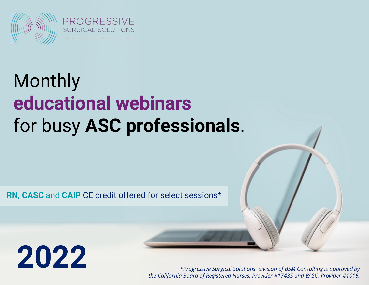

## **Monthly** educational webinars for busy **ASC professionals**.

**RN, CASC** and **CAIP** CE credit offered for select sessions\*

## **2022**

*\*Progressive Surgical Solutions, division of BSM Consulting is approved by the California Board of Registered Nurses, Provider #17435 and BASC, Provider #1016.*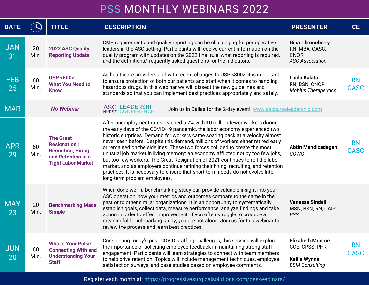| <b>DATE</b>      |            | <b>TITLE</b>                                                                                                              | <b>DESCRIPTION</b>                                                                                                                                                                                                                                                                                                                                                                                                                                                                                                                                                                                                                                                                                                                                                                     |
|------------------|------------|---------------------------------------------------------------------------------------------------------------------------|----------------------------------------------------------------------------------------------------------------------------------------------------------------------------------------------------------------------------------------------------------------------------------------------------------------------------------------------------------------------------------------------------------------------------------------------------------------------------------------------------------------------------------------------------------------------------------------------------------------------------------------------------------------------------------------------------------------------------------------------------------------------------------------|
| <b>JAN</b><br>31 | 20<br>Min. | <b>2022 ASC Quality</b><br><b>Reporting Update</b>                                                                        | CMS requirements and quality reporting can be challenging for perioperative<br>leaders in the ASC setting. Participants will receive current information on the<br>quality program with updates on the 2022 final rule, what reporting is required,<br>and the definitions/frequently asked questions for the indicators.                                                                                                                                                                                                                                                                                                                                                                                                                                                              |
| <b>FEB</b><br>25 | 60<br>Min. | <b>USP &lt;800&gt;:</b><br><b>What You Need to</b><br><b>Know</b>                                                         | As healthcare providers and with recent changes to USP <800>, it is important<br>to ensure protection of both our patients and staff when it comes to handling<br>hazardous drugs. In this webinar we will dissect the new guidelines and<br>standards so that you can implement best practices appropriately and safely.                                                                                                                                                                                                                                                                                                                                                                                                                                                              |
| <b>MAR</b>       |            | <b>No Webinar</b>                                                                                                         | ASC LEADERSHIP<br>NURSE CONFERENCE<br>Join us in Dallas for the 2-day event! www.ascnurse                                                                                                                                                                                                                                                                                                                                                                                                                                                                                                                                                                                                                                                                                              |
| <b>APR</b><br>29 | 60<br>Min. | <b>The Great</b><br><b>Resignation</b>  <br><b>Recruiting, Hiring,</b><br>and Retention in a<br><b>Tight Labor Market</b> | After unemployment rates reached 6.7% with 10 million fewer workers during<br>the early days of the COVID-19 pandemic, the labor economy experienced two<br>historic surprises. Demand for workers came soaring back at a velocity almost<br>never seen before. Despite this demand, millions of workers either retired early<br>or remained on the sidelines. These two forces collided to create the most<br>unusual job market in living memory: an economy afflicted not by too few jobs,<br>but too few workers. The Great Resignation of 2021 continues to roil the labor<br>market, and as employers continue refining their hiring, recruiting, and retention<br>practices, it is necessary to ensure that short-term needs do not evolve into<br>long-term problem employees. |
| <b>MAY</b><br>23 | 20<br>Min. | <b>Benchmarking Made</b><br><b>Simple</b>                                                                                 | When done well, a benchmarking study can provide valuable insight into your<br>ASC operation, how your metrics and outcomes compare to the same in the<br>past or to other similar organizations. It is an opportunity to systematically<br>establish goals, collect data, measure performance, analyze findings and take<br>action in order to effect improvement. If you often struggle to produce a<br>meaningful benchmarking study, you are not alone. Join us for this webinar to<br>review the process and learn best practices.                                                                                                                                                                                                                                                |
| <b>JUN</b><br>20 | 60<br>Min. | <b>What's Your Pulse:</b><br><b>Connecting With and</b><br><b>Understanding Your</b><br><b>Staff</b>                      | Considering today's post-COVID staffing challenges, this session will explore<br>the importance of soliciting employee feedback in maintaining strong staff<br>engagement. Participants will learn strategies to connect with team members<br>to help drive retention. Topics will include management techniques, employee<br>satisfaction surveys, and case studies based on employee comments.                                                                                                                                                                                                                                                                                                                                                                                       |

## PSS MONTHLY WEBINARS 2022

Register each month at: https://progressivesurgicalsolutions.com/pss-webinars/